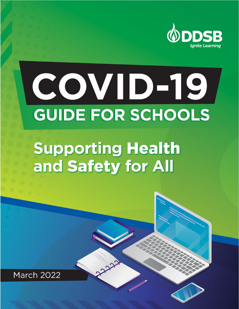

# COVID-19 **GUIDE FOR SCHOOLS**

# **Supporting Health** and Safety for All

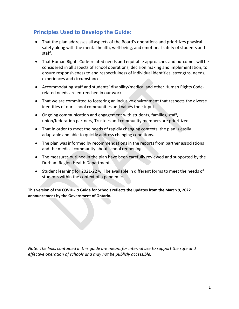# **Principles Used to Develop the Guide:**

- That the plan addresses all aspects of the Board's operations and prioritizes physical safety along with the mental health, well-being, and emotional safety of students and staff.
- That Human Rights Code-related needs and equitable approaches and outcomes will be considered in all aspects of school operations, decision making and implementation, to ensure responsiveness to and respectfulness of individual identities, strengths, needs, experiences and circumstances.
- Accommodating staff and students' disability/medical and other Human Rights Coderelated needs are entrenched in our work.
- That we are committed to fostering an inclusive environment that respects the diverse identities of our school communities and values their input.
- Ongoing communication and engagement with students, families, staff, union/federation partners, Trustees and community members are prioritized.
- That in order to meet the needs of rapidly changing contexts, the plan is easily adaptable and able to quickly address changing conditions.
- The plan was informed by recommendations in the reports from partner associations and the medical community about school reopening.
- The measures outlined in the plan have been carefully reviewed and supported by the Durham Region Health Department.
- Student learning for 2021-22 will be available in different forms to meet the needs of students within the context of a pandemic.

**This version of the COVID-19 Guide for Schools reflects the updates from the March 9, 2022 announcement by the Government of Ontario.**

*Note: The links contained in this guide are meant for internal use to support the safe and effective operation of schools and may not be publicly accessible.*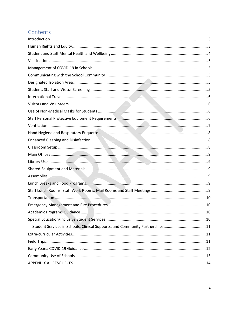# Contents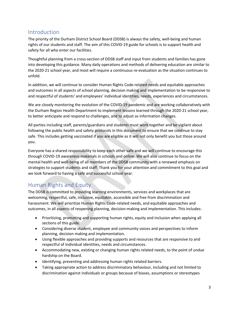# <span id="page-3-0"></span>Introduction

The priority of the Durham District School Board (DDSB) is always the safety, well-being and human rights of our students and staff. The aim of this COVID-19 guide for schools is to support health and safety for all who enter our facilities.

Thoughtful planning from a cross-section of DDSB staff and input from students and families has gone into developing this guidance. Many daily operations and methods of delivering education are similar to the 2020-21 school year, and most will require a continuous re-evaluation as the situation continues to unfold.

In addition, we will continue to consider Human Rights Code-related needs and equitable approaches and outcomes in all aspects of school planning, decision making and implementation to be responsive to and respectful of students' and employees' individual identities, needs, experiences and circumstances.

We are closely monitoring the evolution of the COVID-19 pandemic and are working collaboratively with the Durham Region Health Department to implement lessons learned through the 2020-21 school year, to better anticipate and respond to challenges, and to adjust as information changes.

All parties including staff, parents/guardians and students must work together and be vigilant about following the public health and safety protocols in this document to ensure that we continue to stay safe. This includes getting vaccinated if you are eligible as it will not only benefit you but those around you.

Everyone has a shared responsibility to keep each other safe and we will continue to encourage this through COVID-19 awareness materials in schools and online. We will also continue to focus on the mental health and well-being of all members of the DDSB community with a renewed emphasis on strategies to support students and staff. Thank you for your attention and commitment to this goal and we look forward to having a safe and successful school year.

# <span id="page-3-1"></span>Human Rights and Equity

The DDSB is committed to providing learning environments, services and workplaces that are welcoming, respectful, safe, inclusive, equitable, accessible and free from discrimination and harassment. We will prioritize Human Rights Code-related needs, and equitable approaches and outcomes, in all aspects of reopening planning, decision-making and implementation. This includes:

- Prioritizing, promoting and supporting human rights, equity and inclusion when applying all sections of this guide.
- Considering diverse student, employee and community voices and perspectives to inform planning, decision making and implementation.
- Using flexible approaches and providing supports and resources that are responsive to and respectful of individual identities, needs and circumstances.
- Accommodating new, existing or changing human rights related needs, to the point of undue hardship on the Board.
- Identifying, preventing and addressing human rights related barriers.
- Taking appropriate action to address discriminatory behaviour, including and not limited to discrimination against individuals or groups because of biases, assumptions or stereotypes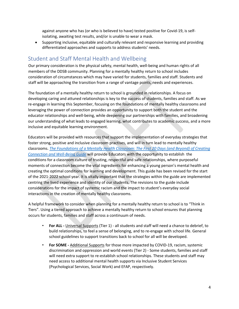against anyone who has (or who is believed to have) tested positive for Covid-19, is selfisolating, awaiting test results, and/or is unable to wear a mask.

• Supporting inclusive, equitable and culturally relevant and responsive learning and providing differentiated approaches and supports to address students' needs.

#### <span id="page-4-0"></span>Student and Staff Mental Health and Wellbeing

Our primary consideration is the physical safety, mental health, well-being and human rights of all members of the DDSB community. Planning for a mentally healthy return to school includes consideration of circumstances which may have varied for students, families and staff. Students and staff will be approaching the transition from a range of vantage points, needs and experiences.

The foundation of a mentally healthy return to school is grounded in relationships. A focus on developing caring and attuned relationships is key to the success of students, families and staff. As we re-engage in learning this September, focusing on the foundations of mentally healthy classrooms and leveraging the power of connection provides an opportunity to support both the student and the educator relationships and well-being, while deepening our partnerships with families, and broadening our understanding of what leads to engaged learning, what contributes to academic success, and a more inclusive and equitable learning environment.

Educators will be provided with resources that support the implementation of everyday strategies that foster strong, positive and inclusive classroom practises, and will in turn lead to mentally healthy classrooms. *[The Foundations of a Mentally Health Classroom: The First 20 Days \(and Beyond\) of Creating](https://drive.google.com/file/d/1A3B_kYSbFJfBKW3qqR4C3CIg0jJLWnrm/view?usp=sharing)  Connection [and Well-Being Guide](https://drive.google.com/file/d/1A3B_kYSbFJfBKW3qqR4C3CIg0jJLWnrm/view?usp=sharing)* [w](https://drive.google.com/file/d/1mh2IZcEWTjigKg4Poa9dMrEI_AwU5gbv/view)ill provide Educators with the opportunity to establish the conditions for a classroom culture of trusting, respectful and safe relationships, where purposeful moments of connection become the vital ingredients for enhancing a young person's mental health and creating the optimal conditions for learning and development. This guide has been revised for the start of the 2021-2022 school year. It is vitally important that the strategies within the guide are implemented centring the lived experience and identity of our students. The revisions to the guide include considerations for the impact of systemic racism and the impact to student's everyday social interactions in the creation of mentally healthy classrooms.

A helpful framework to consider when planning for a mentally healthy return to school is to "Think in Tiers". Using a tiered approach to achieve a mentally healthy return to school ensures that planning occurs for students, families and staff across a continuum of needs.

- **For ALL -** Universal Supports (Tier 1) all students and staff will need a chance to debrief, to build relationships, to feel a sense of belonging, and to re-engage with school life. General school guidelines to support transitions back to school for all will be developed.
- **For SOME -** Additional Supports for those more impacted by COVID-19, racism, systemic discrimination and oppression and world events (Tier 2) - Some students, families and staff will need extra support to re-establish school relationships. These students and staff may need access to additional mental health supports via Inclusive Student Services (Psychological Services, Social Work) and EFAP, respectively.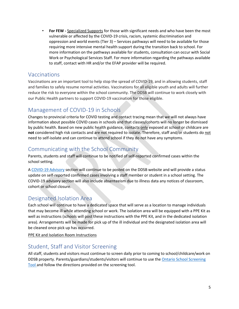• **For FEW -** Specialized Supports for those with significant needs and who have been the most vulnerable or affected by the COVID-19 crisis, racism, systemic discrimination and oppression and world events (Tier 3) – Services pathways will need to be available for those requiring more intensive mental health support during the transition back to school. For more information on the pathways available for students, consultation can occur with Social Work or Psychological Services Staff. For more information regarding the pathways available to staff, contact with HR and/or the EFAP provider will be required.

# <span id="page-5-0"></span>Vaccinations

Vaccinations are an important tool to help stop the spread of COVID-19, and in allowing students, staff and families to safely resume normal activities. Vaccinations for all eligible youth and adults will further reduce the risk to everyone within the school community. The DDSB will continue to work closely with our Public Health partners to support COVID-19 vaccination for those eligible.

# <span id="page-5-1"></span>Management of COVID-19 in Schools

Changes to provincial criteria for COVID testing and contact tracing mean that we will not always have information about possible COVID cases in schools and that classes/cohorts will no longer be dismissed by public health. Based on new public health guidance, contacts only exposed at school or childcare are **not** considered high risk contacts and are not required to isolate. Therefore, staff and/or students do not need to self-isolate and can continue to attend school if they do not have any symptoms.

#### <span id="page-5-2"></span>Communicating with the School Community

Parents, students and staff will continue to be notified of self-reported confirmed cases within the school setting.

A [COVID-19 Advisory](https://www.ddsb.ca/en/our-schools/covid-advisory.aspx) section will continue to be posted on the DDSB website and will provide a status update on self-reported confirmed cases involving a staff member or student in a school setting. The COVID-19 advisory section will also include absenteeism due to illness data any notices of classroom, cohort or school closure.

# <span id="page-5-3"></span>Designated Isolation Area

Each school will continue to have a dedicated space that will serve as a location to manage individuals that may become ill while attending school or work. The isolation area will be equipped with a PPE Kit as well as instructions (schools will post these instructions with the PPE Kit, and in the dedicated isolation area). Arrangements will be made for pick up of the ill individual and the designated isolation area will be cleaned once pick up has occurred.

[PPE Kit and Isolation Room Instructions](https://spark.ddsb.ca/en/administrative-and-school-services/resources/Documents/HealthandSafety/COVID-Resources/Covid-kit-SOP-updated.pdf)

#### <span id="page-5-4"></span>Student, Staff and Visitor Screening

All staff, students and visitors must continue to screen daily prior to coming to school/childcare/work on DDSB property. Parents/guardians/students/visitors will continue to use th[e Ontario School Screening](https://covid-19.ontario.ca/school-screening/)  [Tool a](https://covid-19.ontario.ca/school-screening/)nd follow the directions provided on the screening tool.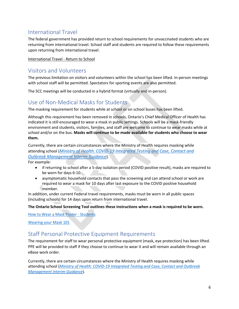# <span id="page-6-0"></span>International Travel

The federal government has provided return to school requirements for unvaccinated students who are returning from international travel. School staff and students are required to follow these requirements upon returning from international travel.

[International Travel -](https://www.canada.ca/en/public-health/services/diseases/2019-novel-coronavirus-infection/awareness-resources/unvaccinated-children-under-12-without-symptoms-travelling-fully-vaccinated-parents-guardians.html) Return to School

#### <span id="page-6-1"></span>Visitors and Volunteers

The previous limitation on visitors and volunteers within the school has been lifted. In-person meetings with school staff will be permitted. Spectators for sporting events are also permitted.

The SCC meetings will be conducted in a hybrid format (virtually and in-person).

#### <span id="page-6-2"></span>Use of Non-Medical Masks for Students

The masking requirement for students while at school or on school buses has been lifted.

Although this requirement has been removed in schools, Ontario's Chief Medical Officer of Health has indicated it is still encouraged to wear a mask in public settings. Schools will be a mask-friendly environment and students, visitors, families, and staff are welcome to continue to wear masks while at school and/or on the bus. **Masks will continue to be made available for students who choose to wear them.**

Currently, there are certain circumstances where the Ministry of Health requires masking while attending school (*[Ministry of Health: COVID-19 Integrated Testing and Case, Contact and](https://www.health.gov.on.ca/en/pro/programs/publichealth/coronavirus/docs/contact_mngmt/management_cases_contacts_omicron.pdf)  [Outbreak Management Interim Guidance](https://www.health.gov.on.ca/en/pro/programs/publichealth/coronavirus/docs/contact_mngmt/management_cases_contacts_omicron.pdf)*).

For example:

- if returning to school after a 5-day isolation period (COVID positive result), masks are required to be worn for days 6-10.
- asymptomatic household contacts that pass the screening and can attend school or work are required to wear a mask for 10 days after last exposure to the COVID positive household member.

In addition, under current Federal travel requirements, masks must be worn in all public spaces (including schools) for 14 days upon return from international travel.

#### **The Ontario School Screening Tool outlines these instructions when a mask is required to be worn.**

How to Wear [a Mask Poster -](https://spark.ddsb.ca/en/administrative-and-school-services/resources/Documents/HealthandSafety/COVID-Resources/Signage/How-to-wear-a-mask-8.5x11.pdf) Students

[Wearing your Mask 101](https://spark.ddsb.ca/en/administrative-and-school-services/resources/Documents/HealthandSafety/COVID-Resources/Signage/Wearing-a-Mask-101-Poster-11x17.pdf)

#### <span id="page-6-3"></span>Staff Personal Protective Equipment Requirements

The requirement for staff to wear personal protective equipment (mask, eye protection) has been lifted. PPE will be provided to staff if they choose to continue to wear it and will remain available through an eBase work order.

Currently, there are certain circumstances where the Ministry of Health requires masking while attending school (*[Ministry of Health: COVID-19 Integrated Testing and Case, Contact and Outbreak](https://www.health.gov.on.ca/en/pro/programs/publichealth/coronavirus/docs/contact_mngmt/management_cases_contacts_omicron.pdf)  [Management Interim Guidance](https://www.health.gov.on.ca/en/pro/programs/publichealth/coronavirus/docs/contact_mngmt/management_cases_contacts_omicron.pdf)*).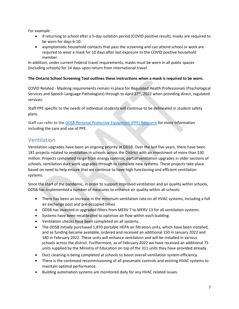For example:

- if returning to school after a 5-day isolation period (COVID positive result), masks are required to be worn for days 6-10.
- asymptomatic household contacts that pass the screening and can attend school or work are required to wear a mask for 10 days after last exposure to the COVID positive household member.

In addition, under current Federal travel requirements, masks must be worn in all public spaces (including schools) for 14 days upon return from international travel.

#### **The Ontario School Screening Tool outlines these instructions when a mask is required to be worn.**

COVID Related - Masking requirements remain in place for Regulated Health Professionals (Psychological Services and Speech Language Pathologists) through to April 27<sup>th</sup>, 2022 when providing direct, regulated services.

Staff PPE specific to the needs of individual students will continue to be delineated in student safety plans.

Staff can refer to the [DDSB Personal Protective Equipment \(PPE\) Resource](https://spark.ddsb.ca/en/administrative-and-school-services/resources/Documents/HealthandSafety/COVID-Resources/DDSB-Covid-PPE-Resource-2021.pdf) for more information including the care and use of PPE.

# <span id="page-7-0"></span>Ventilation

Ventilation upgrades have been an ongoing priority at DDSB. Over the last five years, there have been 181 projects related to ventilation in schools across the District with an investment of more than \$30 million. Projects completed range from energy controls, partial ventilation upgrades in older sections of schools, ventilation duct work upgrades through to complete new systems. These projects take place based on need to help ensure that we continue to have high functioning and efficient ventilation systems.

Since the start of the pandemic, in order to support improved ventilation and air quality within schools, DDSB has implemented a number of measures to enhance air quality within all schools:

- There has been an increase in the minimum ventilation rate on all HVAC systems, including a full air exchange post and pre-occupied times.
- DDSB has invested in upgraded filters from MERV 7 to MERV 13 for all ventilation systems.
- Systems have been recalibrated to optimize air flow within each building.
- Ventilation checks have been completed on all systems.
- The DDSB initially purchased 1,870 portable HEPA air filtration units, which have been installed, and as funding became available, ordered and received an additional 150 in January 2022 and 180 in February 2022. These units will enhance ventilation and will be installed in various schools across the district. Furthermore, as of February 2022 we have received an additional 75 units supplied by the Ministry of Education on top of the 311 units they have provided already.
- Duct cleaning is being completed at schools to boost overall ventilation system efficiency.
- There is the continued recommissioning of all pneumatic controls and existing HVAC systems to maintain optimal performance.
- Building automation systems are monitored daily for any HVAC related issues.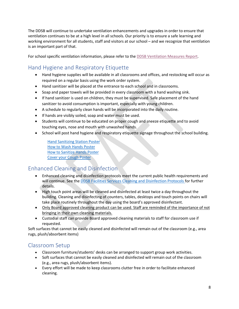The DDSB will continue to undertake ventilation enhancements and upgrades in order to ensure that ventilation continues to be at a high level in all schools. Our priority is to ensure a safe learning and working environment for all students, staff and visitors at our school – and we recognize that ventilation is an important part of that.

<span id="page-8-0"></span>For school specific ventilation information, please refer to the [DDSB Ventilation Measures Report.](https://www.ddsb.ca/Modules/News/index.aspx?newsId=1aa81060-2afc-46a1-aed9-fcaa460a967b&feedId=9af71d9c-32c0-44a2-b019-e3a0eb84ffd2,23903367-d258-477e-b1e0-66c8a9299356)

# Hand Hygiene and Respiratory Etiquette

- Hand hygiene supplies will be available in all classrooms and offices, and restocking will occur as required on a regular basis using the work order system.
- Hand sanitizer will be placed at the entrance to each school and in classrooms.
- Soap and paper towels will be provided in every classroom with a hand washing sink.
- If hand sanitizer is used on children, they must be supervised. Safe placement of the hand sanitizer to avoid consumption is important, especially with young children.
- A schedule to regularly clean hands will be incorporated into the daily routine.
- If hands are visibly soiled, soap and water must be used.
- Students will continue to be educated on proper cough and sneeze etiquette and to avoid touching eyes, nose and mouth with unwashed hands.
- School will post hand hygiene and respiratory etiquette signage throughout the school building.

[Hand Sanitizing Station Poster](https://spark.ddsb.ca/en/administrative-and-school-services/resources/Documents/HealthandSafety/COVID-Resources/Signage/Hand-Sanitizer-Station.pdf) [How to Wash Hands Poster](https://spark.ddsb.ca/en/administrative-and-school-services/resources/Documents/HealthandSafety/COVID-Resources/Signage/Hand-Washing-8.5x11.pdf) [How to Sanitize Hands Poster](https://spark.ddsb.ca/en/administrative-and-school-services/resources/Documents/HealthandSafety/COVID-Resources/Signage/Hand-Sanitizing-8.5x11.pdf) [Cover your Cough Poster](https://spark.ddsb.ca/en/administrative-and-school-services/resources/Documents/HealthandSafety/Bulletin-Board/coverCoughCommunity.pdf)

# <span id="page-8-1"></span>Enhanced Cleaning and Disinfection

- Enhanced cleaning and disinfection protocols meet the current public health requirements and will continue. See th[e DDSB Facilities Services Cleaning and Disinfection Protocols](https://spark.ddsb.ca/en/administrative-and-school-services/resources/Documents/HealthandSafety/COVID-Resources/FS-Cleaning-and-Disinfection-Protocols_COVID-August-27_2021.pdf) for further details.
- High touch point areas will be cleaned and disinfected at least twice a day throughout the building. Cleaning and disinfecting of counters, tables, desktops and touch points on chairs will take place routinely throughout the day using the board's approved disinfectant.
- Only Board approved cleaning product can be used. Staff are reminded of the importance of not bringing in their own cleaning materials.
- Custodial staff can provide Board approved cleaning materials to staff for classroom use if requested.

Soft surfaces that cannot be easily cleaned and disinfected will remain out of the classroom (e.g., area rugs, plush/absorbent items)

# <span id="page-8-2"></span>Classroom Setup

- Classroom furniture/students' desks can be arranged to support group work activities.
- Soft surfaces that cannot be easily cleaned and disinfected will remain out of the classroom (e.g., area rugs, plush/absorbent items).
- Every effort will be made to keep classrooms clutter free in order to facilitate enhanced cleaning.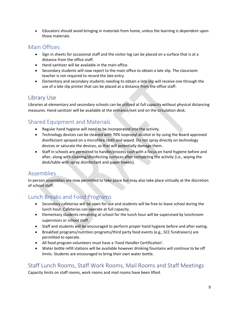• Educators should avoid bringing in materials from home, unless the learning is dependent upon those materials.

#### <span id="page-9-0"></span>Main Offices

- Sign in sheets for occasional staff and the visitor log can be placed on a surface that is at a distance from the office staff.
- Hand sanitizer will be available in the main office.
- Secondary students will now report to the main office to obtain a late slip. The classroom teacher is not required to record the late entry.
- Elementary and secondary students needing to obtain a late slip will receive one through the use of a late slip printer that can be placed at a distance from the office staff.

# <span id="page-9-1"></span>Library Use

Libraries at elementary and secondary schools can be utilized at full capacity without physical distancing measures. Hand sanitizer will be available at the entrance/exit and on the circulation desk.

# <span id="page-9-2"></span>Shared Equipment and Materials

- Regular hand hygiene will need to be incorporated into the activity.
- Technology devices can be cleaned with 70% isopropyl alcohol or by using the Board approved disinfectant sprayed on a microfibre cloth and wiped. Do not spray directly on technology devices or saturate the devices, as that will potentially damage them.
- Staff in schools are permitted to handle/process cash with a focus on hand hygiene before and after, along with cleaning/disinfecting surfaces after completing the activity (i.e., wiping the desk/table with spray disinfectant and paper towels).

#### <span id="page-9-3"></span>Assemblies

In-person assemblies are now permitted to take place but may also take place virtually at the discretion of school staff.

# <span id="page-9-4"></span>Lunch Breaks and Food Programs

- Secondary cafeterias will be open for use and students will be free to leave school during the lunch hour. Cafeterias can operate at full capacity.
- Elementary students remaining at school for the lunch hour will be supervised by lunchroom supervisors or school staff.
- Staff and students will be encouraged to perform proper hand hygiene before and after eating.
- Breakfast programs/nutrition programs/third party food events (e.g., SCC fundraisers) are permitted to operate.
- All food program volunteers must have a 'Food Handler Certification'.
- Water bottle refill stations will be available however drinking fountains will continue to be off limits. Students are encouraged to bring their own water bottle.

#### <span id="page-9-5"></span>Staff Lunch Rooms, Staff Work Rooms, Mail Rooms and Staff Meetings

Capacity limits on staff rooms, work rooms and mail rooms have been lifted.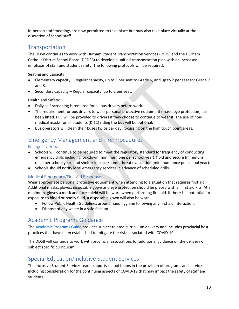In-person staff meetings are now permitted to take place but may also take place virtually at the discretion of school staff.

#### <span id="page-10-0"></span>Transportation

The DDSB continues to work with Durham Student Transportation Services (DSTS) and the Durham Catholic District School Board (DCDSB) to develop a unified transportation plan with an increased emphasis of staff and student safety. The following protocols will be required.

Seating and Capacity:

- Elementary capacity Regular capacity, up to 3 per seat to Grade 6, and up to 2 per seat for Grade 7 and 8.
- Secondary capacity Regular capacity, up to 2 per seat.

Health and Safety:

- Daily self-screening is required for all bus drivers before work.
- The requirement for bus drivers to wear personal protective equipment (mask, eye protection) has been lifted. PPE will be provided to drivers if they choose to continue to wear it. The use of nonmedical masks for all students (K-12) riding the bus will be optional.
- Bus operators will clean their buses twice per day, focussing on the high touch point areas.

# <span id="page-10-1"></span>Emergency Management and Fire Procedures

Emergency Drills:

- Schools will continue to be required to meet the regulatory standard for frequency of conducting emergency drills including lockdown (minimum one per school year), hold and secure (minimum once per school year) and shelter in place/bomb threat evacuation (minimum once per school year).
- Schools should notify local emergency services in advance of scheduled drills.

#### Medical Emergency/First Aid Response:

Wear appropriate personal protective equipment when attending to a situation that requires first aid. Additional masks, gloves, disposable gown and eye protection should be placed with all first aid kits. At a minimum, gloves a mask and face shield will be worn when performing first aid. If there is a potential for exposure to blood or bodily fluid, a disposable gown will also be worn.

- Follow Public Health Guidelines around hand hygiene following any first aid interaction.
- Dispose of any waste in a safe fashion.

#### <span id="page-10-2"></span>Academic Programs Guidance

The [Academic Programs Guide](https://spark.ddsb.ca/en/administrative-and-school-services/resources/Documents/Secure-Administrator-Memos/System-Communications/2021-2022/September-9-2021-DDSB-Re-Opening-Schools-Guiding-Principles-002.pdf) provides subject related curriculum delivery and includes provincial best practices that have been established to mitigate the risks associated with COVID-19.

The DDSB will continue to work with provincial associations for additional guidance on the delivery of subject specific curriculum.

#### <span id="page-10-3"></span>Special Education/Inclusive Student Services

The Inclusive Student Services team supports school teams in the provision of programs and services including consideration for the continuing aspects of COVID-19 that may impact the safety of staff and students.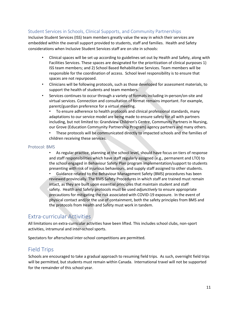#### <span id="page-11-0"></span>Student Services in Schools, Clinical Supports, and Community Partnerships

Inclusive Student Services (ISS) team members greatly value the way in which their services are embedded within the overall support provided to students, staff and families. Health and Safety considerations when Inclusive Student Services staff are on site in schools:

- Clinical spaces will be set up according to guidelines set out by Health and Safety, along with Facilities Services. These spaces are designated for the prioritization of clinical purposes 1) ISS team members; and 2) School Based Rehabilitative Services. Team members will be responsible for the coordination of access. School level responsibility is to ensure that spaces are not repurposed.
- Clinicians will be following protocols, such as those developed for assessment materials, to support the health of students and team members.
- Services continues to occur through a variety of formats including in-person/on-site and virtual services. Connection and consultation of format remains important. For example, parent/guardian preference for a virtual meeting.

• To ensure adherence to health protocols and clinical professional standards, many adaptations to our service model are being made to ensure safety for all with partners including, but not limited to: Grandview Children's Centre, Community Partners in Nursing, our Grove (Education Community Partnership Program) agency partners and many others.

• These protocols will be communicated directly to impacted schools and the families of children receiving these services.

#### Protocol: BMS

• As regular practice, planning at the school level, should have focus on tiers of response and staff responsibilities which have staff regularly assigned (e.g., permanent and LTO) to the school engaged in Behaviour Safety Plan program implementation/support to students presenting with risk of injurious behaviours, and supply staff assigned to other students.

• Guidance related to the Behaviour Management Safety (BMS) procedures has been reviewed provincially. The BMS Safety Procedures in which staff are trained must remain intact, as they are built upon essential principles that maintain student and staff safety. Health and Safety protocols must be used *adjunctively* to ensure appropriate precautions for mitigating the risk associated with COVID-19 exposure. In the event of physical contact and/or the use of containment, both the safety principles from BMS and the protocols from Health and Safety must work in tandem.

#### <span id="page-11-1"></span>Extra-curricular Activities

All limitations on extra-curricular activities have been lifted. This includes school clubs, non-sport activities, intramural and inter-school sports.

Spectators for afterschool inter-school competitions are permitted.

#### <span id="page-11-2"></span>Field Trips

Schools are encouraged to take a gradual approach to resuming field trips. As such, overnight field trips will be permitted, but students must remain within Canada. International travel will not be supported for the remainder of this school year.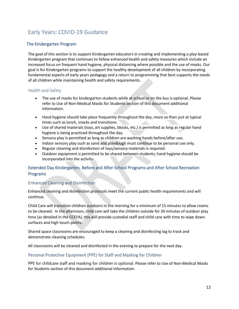# <span id="page-12-0"></span>Early Years: COVID-19 Guidance

#### The Kindergarten Program

The goal of this section is to support Kindergarten educators in creating and implementing a play-based Kindergarten program that continues to follow enhanced health and safety measures which include an increased focus on frequent hand hygiene, physical distancing where possible and the use of masks. Our goal is for Kindergarten programs to support the healthy development of all children by incorporating fundamental aspects of early years pedagogy and a return to programming that best supports the needs of all children while maintaining health and safety requirements.

#### Health and Safety

- The use of masks for kindergarten students while at school or on the bus is optional. Please refer to Use of Non-Medical Masks for Students section of this document additional information.
- Hand hygiene should take place frequently throughout the day, more so then just at typical times such as lunch, snacks and transitions.
- Use of shared materials (toys, art supplies, blocks, etc.) is permitted as long as regular hand hygiene is being practiced throughout the day.
- Sensory play is permitted as long as children are washing hands before/after use.
- Indoor sensory play such as sand and playdough must continue to be personal use only.
- Regular cleaning and disinfection of toys/sensory materials is required.
- Outdoor equipment is permitted to be shared between students; hand hygiene should be incorporated into the activity

#### Extended Day Kindergarten, Before and After School Programs and After School Recreation Programs

#### Enhanced Cleaning and Disinfection

Enhanced cleaning and disinfection protocols meet the current public health requirements and will continue.

Child Care will transition children outdoors in the morning for a minimum of 15 minutes to allow rooms to be cleaned. In the afternoon, child care will take the children outside for 30 minutes of outdoor play time (as detailed in the CCEYA), this will provide custodial staff and child care with time to wipe down surfaces and high touch points.

Shared space classrooms are encouraged to keep a cleaning and disinfecting log to track and demonstrate cleaning schedules.

All classrooms will be cleaned and disinfected in the evening to prepare for the next day.

#### Personal Protective Equipment (PPE) for Staff and Masking for Children

PPE for childcare staff and masking for children is optional. Please refer to Use of Non-Medical Masks for Students section of this document additional information.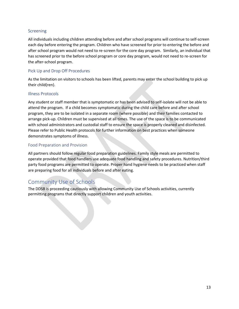#### Screening

All individuals including children attending before and after school programs will continue to self-screen each day before entering the program. Children who have screened for prior to entering the before and after school program would not need to re-screen for the core day program. Similarly, an individual that has screened prior to the before school program or core day program, would not need to re-screen for the after-school program.

#### Pick Up and Drop Off Procedures

As the limitation on visitors to schools has been lifted, parents may enter the school building to pick up their child(ren).

#### Illness Protocols

Any student or staff member that is symptomatic or has been advised to self-isolate will not be able to attend the program. If a child becomes symptomatic during the child care before and after school program, they are to be isolated in a separate room (where possible) and their families contacted to arrange pick-up. Children must be supervised at all times. The use of the space is to be communicated with school administrators and custodial staff to ensure the space is properly cleaned and disinfected. Please refer to Public Health protocols for further information on best practices when someone demonstrates symptoms of illness.

#### Food Preparation and Provision

All partners should follow regular food preparation guidelines. Family style meals are permitted to operate provided that food handlers use adequate food handling and safety procedures. Nutrition/third party food programs are permitted to operate. Proper hand hygiene needs to be practiced when staff are preparing food for all individuals before and after eating.

#### <span id="page-13-0"></span>Community Use of Schools

The DDSB is proceeding cautiously with allowing Community Use of Schools activities, currently permitting programs that directly support children and youth activities.